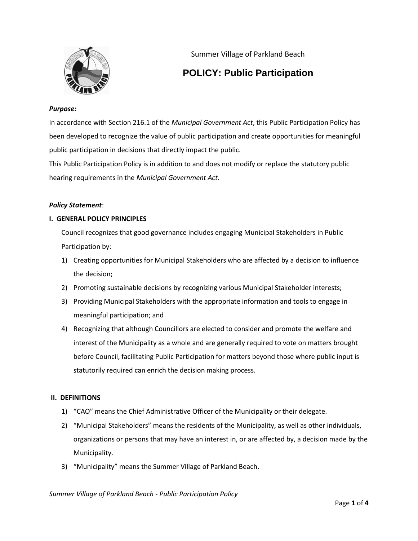

Summer Village of Parkland Beach

# **POLICY: Public Participation**

# *Purpose:*

In accordance with Section 216.1 of the *Municipal Government Act*, this Public Participation Policy has been developed to recognize the value of public participation and create opportunities for meaningful public participation in decisions that directly impact the public.

This Public Participation Policy is in addition to and does not modify or replace the statutory public hearing requirements in the *Municipal Government Act*.

# *Policy Statement*:

# **I. GENERAL POLICY PRINCIPLES**

Council recognizes that good governance includes engaging Municipal Stakeholders in Public Participation by:

- 1) Creating opportunities for Municipal Stakeholders who are affected by a decision to influence the decision;
- 2) Promoting sustainable decisions by recognizing various Municipal Stakeholder interests;
- 3) Providing Municipal Stakeholders with the appropriate information and tools to engage in meaningful participation; and
- 4) Recognizing that although Councillors are elected to consider and promote the welfare and interest of the Municipality as a whole and are generally required to vote on matters brought before Council, facilitating Public Participation for matters beyond those where public input is statutorily required can enrich the decision making process.

# **II. DEFINITIONS**

- 1) "CAO" means the Chief Administrative Officer of the Municipality or their delegate.
- 2) "Municipal Stakeholders" means the residents of the Municipality, as well as other individuals, organizations or persons that may have an interest in, or are affected by, a decision made by the Municipality.
- 3) "Municipality" means the Summer Village of Parkland Beach.

*Summer Village of Parkland Beach - Public Participation Policy*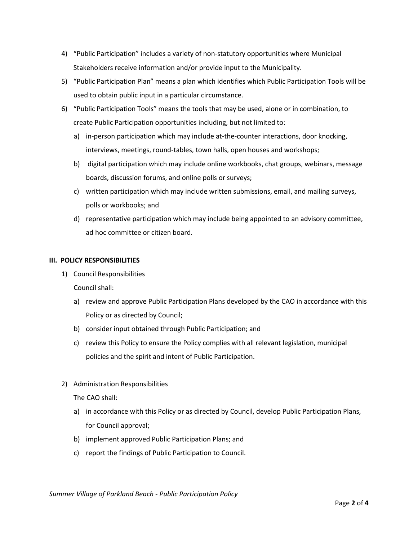- 4) "Public Participation" includes a variety of non-statutory opportunities where Municipal Stakeholders receive information and/or provide input to the Municipality.
- 5) "Public Participation Plan" means a plan which identifies which Public Participation Tools will be used to obtain public input in a particular circumstance.
- 6) "Public Participation Tools" means the tools that may be used, alone or in combination, to create Public Participation opportunities including, but not limited to:
	- a) in-person participation which may include at-the-counter interactions, door knocking, interviews, meetings, round-tables, town halls, open houses and workshops;
	- b) digital participation which may include online workbooks, chat groups, webinars, message boards, discussion forums, and online polls or surveys;
	- c) written participation which may include written submissions, email, and mailing surveys, polls or workbooks; and
	- d) representative participation which may include being appointed to an advisory committee, ad hoc committee or citizen board.

# **III. POLICY RESPONSIBILITIES**

1) Council Responsibilities

Council shall:

- a) review and approve Public Participation Plans developed by the CAO in accordance with this Policy or as directed by Council;
- b) consider input obtained through Public Participation; and
- c) review this Policy to ensure the Policy complies with all relevant legislation, municipal policies and the spirit and intent of Public Participation.
- 2) Administration Responsibilities

The CAO shall:

- a) in accordance with this Policy or as directed by Council, develop Public Participation Plans, for Council approval;
- b) implement approved Public Participation Plans; and
- c) report the findings of Public Participation to Council.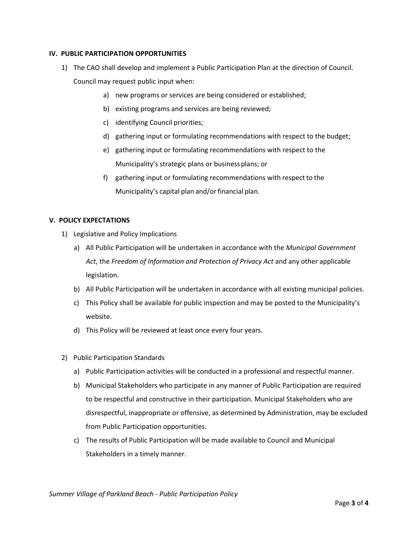# **IV. PUBLIC PARTICIPATION OPPORTUNITIES**

- 1) The CAO shall develop and implement a Public Participation Plan at the direction of Council. Council may request public input when:
	- a) new programs or services are being considered or established;
	- b) existing programs and services are being reviewed;
	- c) identifying Council priorities;
	- d) gathering input or formulating recommendations with respect to the budget;
	- e) gathering input or formulating recommendations with respect to the Municipality's strategic plans or businessplans; or
	- f) gathering input or formulating recommendations with respect to the Municipality's capital plan and/or financial plan.

#### **V. POLICY EXPECTATIONS**

- 1) Legislative and Policy Implications
	- a) All Public Participation will be undertaken in accordance with the *Municipal Government Act*, the *Freedom of Information and Protection of Privacy Act* and any other applicable legislation.
	- b) All Public Participation will be undertaken in accordance with all existing municipal policies.
	- c) This Policy shall be available for public inspection and may be posted to the Municipality's website.
	- d) This Policy will be reviewed at least once every four years.
- 2) Public Participation Standards
	- a) Public Participation activities will be conducted in a professional and respectful manner.
	- b) Municipal Stakeholders who participate in any manner of Public Participation are required to be respectful and constructive in their participation. Municipal Stakeholders who are disrespectful, inappropriate or offensive, as determined by Administration, may be excluded from Public Participation opportunities.
	- c) The results of Public Participation will be made available to Council and Municipal Stakeholders in a timely manner.